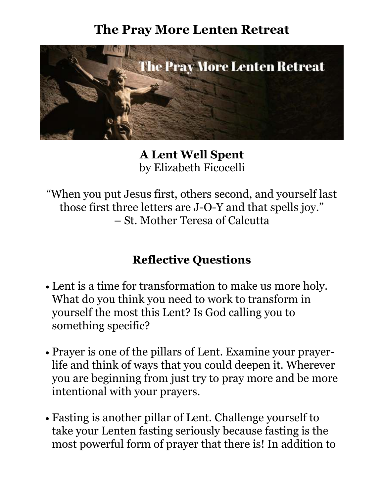## **The Pray More Lenten Retreat**



**A Lent Well Spent**  by Elizabeth Ficocelli

"When you put Jesus first, others second, and yourself last those first three letters are J-O-Y and that spells joy." – St. Mother Teresa of Calcutta

## **Reflective Questions**

- Lent is a time for transformation to make us more holy. What do you think you need to work to transform in yourself the most this Lent? Is God calling you to something specific?
- Prayer is one of the pillars of Lent. Examine your prayerlife and think of ways that you could deepen it. Wherever you are beginning from just try to pray more and be more intentional with your prayers.
- Fasting is another pillar of Lent. Challenge yourself to take your Lenten fasting seriously because fasting is the most powerful form of prayer that there is! In addition to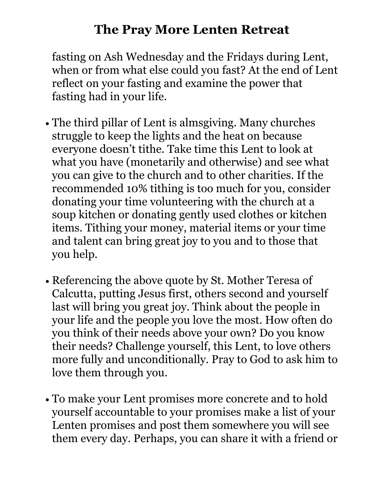## **The Pray More Lenten Retreat**

fasting on Ash Wednesday and the Fridays during Lent, when or from what else could you fast? At the end of Lent reflect on your fasting and examine the power that fasting had in your life.

- The third pillar of Lent is almsgiving. Many churches struggle to keep the lights and the heat on because everyone doesn't tithe. Take time this Lent to look at what you have (monetarily and otherwise) and see what you can give to the church and to other charities. If the recommended 10% tithing is too much for you, consider donating your time volunteering with the church at a soup kitchen or donating gently used clothes or kitchen items. Tithing your money, material items or your time and talent can bring great joy to you and to those that you help.
- Referencing the above quote by St. Mother Teresa of Calcutta, putting Jesus first, others second and yourself last will bring you great joy. Think about the people in your life and the people you love the most. How often do you think of their needs above your own? Do you know their needs? Challenge yourself, this Lent, to love others more fully and unconditionally. Pray to God to ask him to love them through you.
- To make your Lent promises more concrete and to hold yourself accountable to your promises make a list of your Lenten promises and post them somewhere you will see them every day. Perhaps, you can share it with a friend or